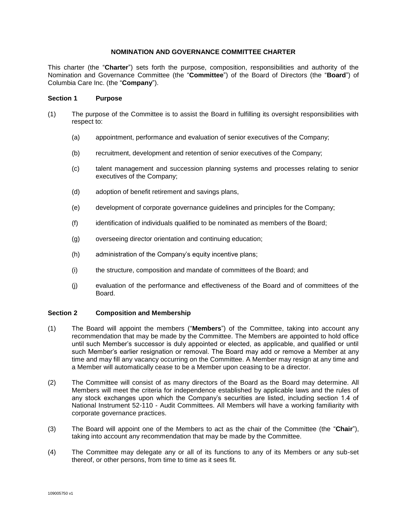# **NOMINATION AND GOVERNANCE COMMITTEE CHARTER**

This charter (the "**Charter**") sets forth the purpose, composition, responsibilities and authority of the Nomination and Governance Committee (the "**Committee**") of the Board of Directors (the "**Board**") of Columbia Care Inc. (the "**Company**").

# **Section 1 Purpose**

- (1) The purpose of the Committee is to assist the Board in fulfilling its oversight responsibilities with respect to:
	- (a) appointment, performance and evaluation of senior executives of the Company;
	- (b) recruitment, development and retention of senior executives of the Company;
	- (c) talent management and succession planning systems and processes relating to senior executives of the Company;
	- (d) adoption of benefit retirement and savings plans,
	- (e) development of corporate governance guidelines and principles for the Company;
	- (f) identification of individuals qualified to be nominated as members of the Board;
	- (g) overseeing director orientation and continuing education;
	- (h) administration of the Company's equity incentive plans;
	- (i) the structure, composition and mandate of committees of the Board; and
	- (j) evaluation of the performance and effectiveness of the Board and of committees of the Board.

### **Section 2 Composition and Membership**

- (1) The Board will appoint the members ("**Members**") of the Committee, taking into account any recommendation that may be made by the Committee. The Members are appointed to hold office until such Member's successor is duly appointed or elected, as applicable, and qualified or until such Member's earlier resignation or removal. The Board may add or remove a Member at any time and may fill any vacancy occurring on the Committee. A Member may resign at any time and a Member will automatically cease to be a Member upon ceasing to be a director.
- (2) The Committee will consist of as many directors of the Board as the Board may determine. All Members will meet the criteria for independence established by applicable laws and the rules of any stock exchanges upon which the Company's securities are listed, including section 1.4 of National Instrument 52-110 - Audit Committees. All Members will have a working familiarity with corporate governance practices.
- (3) The Board will appoint one of the Members to act as the chair of the Committee (the "**Chair**"), taking into account any recommendation that may be made by the Committee.
- (4) The Committee may delegate any or all of its functions to any of its Members or any sub-set thereof, or other persons, from time to time as it sees fit.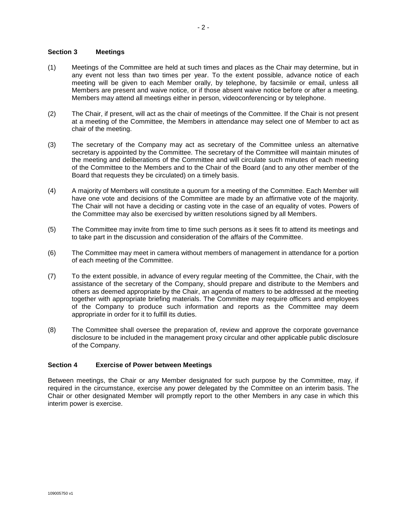## **Section 3 Meetings**

- (1) Meetings of the Committee are held at such times and places as the Chair may determine, but in any event not less than two times per year. To the extent possible, advance notice of each meeting will be given to each Member orally, by telephone, by facsimile or email, unless all Members are present and waive notice, or if those absent waive notice before or after a meeting. Members may attend all meetings either in person, videoconferencing or by telephone.
- (2) The Chair, if present, will act as the chair of meetings of the Committee. If the Chair is not present at a meeting of the Committee, the Members in attendance may select one of Member to act as chair of the meeting.
- (3) The secretary of the Company may act as secretary of the Committee unless an alternative secretary is appointed by the Committee. The secretary of the Committee will maintain minutes of the meeting and deliberations of the Committee and will circulate such minutes of each meeting of the Committee to the Members and to the Chair of the Board (and to any other member of the Board that requests they be circulated) on a timely basis.
- (4) A majority of Members will constitute a quorum for a meeting of the Committee. Each Member will have one vote and decisions of the Committee are made by an affirmative vote of the majority. The Chair will not have a deciding or casting vote in the case of an equality of votes. Powers of the Committee may also be exercised by written resolutions signed by all Members.
- (5) The Committee may invite from time to time such persons as it sees fit to attend its meetings and to take part in the discussion and consideration of the affairs of the Committee.
- (6) The Committee may meet in camera without members of management in attendance for a portion of each meeting of the Committee.
- (7) To the extent possible, in advance of every regular meeting of the Committee, the Chair, with the assistance of the secretary of the Company, should prepare and distribute to the Members and others as deemed appropriate by the Chair, an agenda of matters to be addressed at the meeting together with appropriate briefing materials. The Committee may require officers and employees of the Company to produce such information and reports as the Committee may deem appropriate in order for it to fulfill its duties.
- (8) The Committee shall oversee the preparation of, review and approve the corporate governance disclosure to be included in the management proxy circular and other applicable public disclosure of the Company.

### **Section 4 Exercise of Power between Meetings**

Between meetings, the Chair or any Member designated for such purpose by the Committee, may, if required in the circumstance, exercise any power delegated by the Committee on an interim basis. The Chair or other designated Member will promptly report to the other Members in any case in which this interim power is exercise.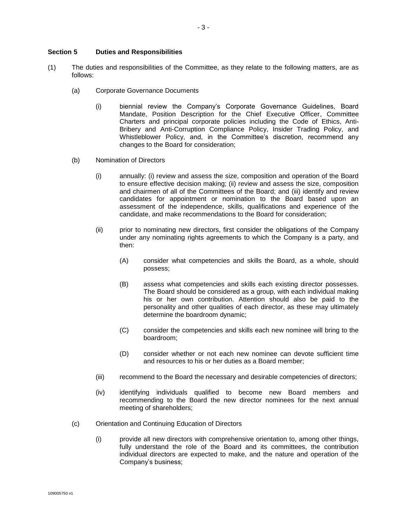## **Section 5 Duties and Responsibilities**

- (1) The duties and responsibilities of the Committee, as they relate to the following matters, are as follows:
	- (a) Corporate Governance Documents
		- (i) biennial review the Company's Corporate Governance Guidelines, Board Mandate, Position Description for the Chief Executive Officer, Committee Charters and principal corporate policies including the Code of Ethics, Anti-Bribery and Anti-Corruption Compliance Policy, Insider Trading Policy, and Whistleblower Policy, and, in the Committee's discretion, recommend any changes to the Board for consideration;
	- (b) Nomination of Directors
		- (i) annually: (i) review and assess the size, composition and operation of the Board to ensure effective decision making; (ii) review and assess the size, composition and chairmen of all of the Committees of the Board; and (iii) identify and review candidates for appointment or nomination to the Board based upon an assessment of the independence, skills, qualifications and experience of the candidate, and make recommendations to the Board for consideration;
		- (ii) prior to nominating new directors, first consider the obligations of the Company under any nominating rights agreements to which the Company is a party, and then:
			- (A) consider what competencies and skills the Board, as a whole, should possess;
			- (B) assess what competencies and skills each existing director possesses. The Board should be considered as a group, with each individual making his or her own contribution. Attention should also be paid to the personality and other qualities of each director, as these may ultimately determine the boardroom dynamic;
			- (C) consider the competencies and skills each new nominee will bring to the boardroom;
			- (D) consider whether or not each new nominee can devote sufficient time and resources to his or her duties as a Board member;
		- (iii) recommend to the Board the necessary and desirable competencies of directors;
		- (iv) identifying individuals qualified to become new Board members and recommending to the Board the new director nominees for the next annual meeting of shareholders;
	- (c) Orientation and Continuing Education of Directors
		- (i) provide all new directors with comprehensive orientation to, among other things, fully understand the role of the Board and its committees, the contribution individual directors are expected to make, and the nature and operation of the Company's business;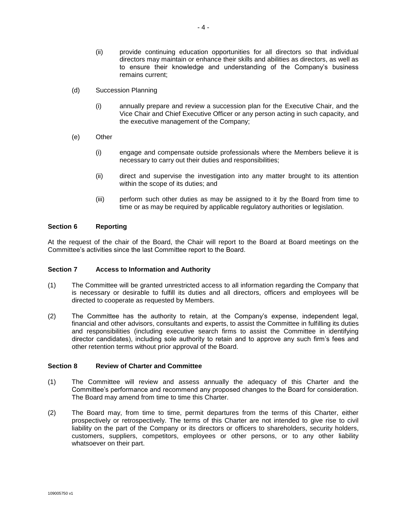- (ii) provide continuing education opportunities for all directors so that individual directors may maintain or enhance their skills and abilities as directors, as well as to ensure their knowledge and understanding of the Company's business remains current;
- (d) Succession Planning
	- (i) annually prepare and review a succession plan for the Executive Chair, and the Vice Chair and Chief Executive Officer or any person acting in such capacity, and the executive management of the Company;
- (e) Other
	- (i) engage and compensate outside professionals where the Members believe it is necessary to carry out their duties and responsibilities;
	- (ii) direct and supervise the investigation into any matter brought to its attention within the scope of its duties; and
	- (iii) perform such other duties as may be assigned to it by the Board from time to time or as may be required by applicable regulatory authorities or legislation.

### **Section 6 Reporting**

At the request of the chair of the Board, the Chair will report to the Board at Board meetings on the Committee's activities since the last Committee report to the Board.

### **Section 7 Access to Information and Authority**

- (1) The Committee will be granted unrestricted access to all information regarding the Company that is necessary or desirable to fulfill its duties and all directors, officers and employees will be directed to cooperate as requested by Members.
- (2) The Committee has the authority to retain, at the Company's expense, independent legal, financial and other advisors, consultants and experts, to assist the Committee in fulfilling its duties and responsibilities (including executive search firms to assist the Committee in identifying director candidates), including sole authority to retain and to approve any such firm's fees and other retention terms without prior approval of the Board.

## **Section 8 Review of Charter and Committee**

- (1) The Committee will review and assess annually the adequacy of this Charter and the Committee's performance and recommend any proposed changes to the Board for consideration. The Board may amend from time to time this Charter.
- (2) The Board may, from time to time, permit departures from the terms of this Charter, either prospectively or retrospectively. The terms of this Charter are not intended to give rise to civil liability on the part of the Company or its directors or officers to shareholders, security holders, customers, suppliers, competitors, employees or other persons, or to any other liability whatsoever on their part.